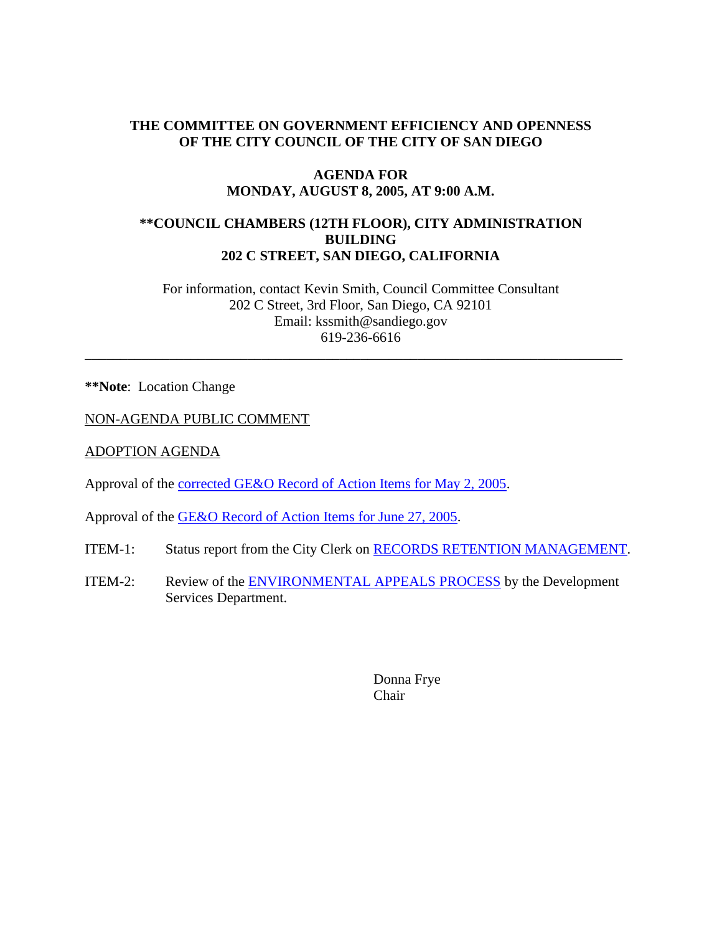## **THE COMMITTEE ON GOVERNMENT EFFICIENCY AND OPENNESS OF THE CITY COUNCIL OF THE CITY OF SAN DIEGO**

### **AGENDA FOR MONDAY, AUGUST 8, 2005, AT 9:00 A.M.**

## **\*\*COUNCIL CHAMBERS (12TH FLOOR), CITY ADMINISTRATION BUILDING 202 C STREET, SAN DIEGO, CALIFORNIA**

For information, contact Kevin Smith, Council Committee Consultant 202 C Street, 3rd Floor, San Diego, CA 92101 Email: kssmith@sandiego.gov 619-236-6616

\_\_\_\_\_\_\_\_\_\_\_\_\_\_\_\_\_\_\_\_\_\_\_\_\_\_\_\_\_\_\_\_\_\_\_\_\_\_\_\_\_\_\_\_\_\_\_\_\_\_\_\_\_\_\_\_\_\_\_\_\_\_\_\_\_\_\_\_\_\_\_\_\_\_\_\_

**\*\*Note**: Location Change

NON-AGENDA PUBLIC COMMENT

ADOPTION AGENDA

Approval of the corrected GE&O Record of Action Items for May 2, 2005.

Approval of the GE&O Record of Action Items for June 27, 2005.

- ITEM-1: Status report from the City Clerk on RECORDS RETENTION MANAGEMENT.
- ITEM-2: Review of the **ENVIRONMENTAL APPEALS PROCESS** by the Development Services Department.

Donna Frye Chair